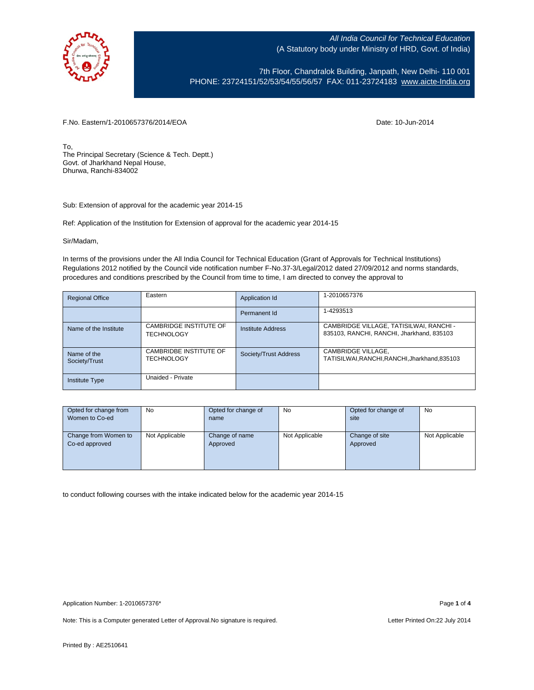

7th Floor, Chandralok Building, Janpath, New Delhi- 110 001 PHONE: 23724151/52/53/54/55/56/57 FAX: 011-23724183 [www.aicte-India.org](http://www.aicte-india.org/)

F.No. Eastern/1-2010657376/2014/EOA Date: 10-Jun-2014

To, The Principal Secretary (Science & Tech. Deptt.) Govt. of Jharkhand Nepal House, Dhurwa, Ranchi-834002

Sub: Extension of approval for the academic year 2014-15

Ref: Application of the Institution for Extension of approval for the academic year 2014-15

Sir/Madam,

In terms of the provisions under the All India Council for Technical Education (Grant of Approvals for Technical Institutions) Regulations 2012 notified by the Council vide notification number F-No.37-3/Legal/2012 dated 27/09/2012 and norms standards, procedures and conditions prescribed by the Council from time to time, I am directed to convey the approval to

| <b>Regional Office</b>       | Eastern                                     | Application Id           | 1-2010657376                                                                         |
|------------------------------|---------------------------------------------|--------------------------|--------------------------------------------------------------------------------------|
|                              |                                             | Permanent Id             | 1-4293513                                                                            |
| Name of the Institute        | CAMBRIDGE INSTITUTE OF<br><b>TECHNOLOGY</b> | <b>Institute Address</b> | CAMBRIDGE VILLAGE, TATISILWAI, RANCHI -<br>835103, RANCHI, RANCHI, Jharkhand, 835103 |
| Name of the<br>Society/Trust | CAMBRIDBE INSTITUTE OF<br><b>TECHNOLOGY</b> | Society/Trust Address    | CAMBRIDGE VILLAGE,<br>TATISILWAI, RANCHI, RANCHI, Jharkhand, 835103                  |
| <b>Institute Type</b>        | Unaided - Private                           |                          |                                                                                      |

| Opted for change from                  | <b>No</b>      | Opted for change of        | <b>No</b>      | Opted for change of        | <b>No</b>      |
|----------------------------------------|----------------|----------------------------|----------------|----------------------------|----------------|
| Women to Co-ed                         |                | name                       |                | site                       |                |
|                                        |                |                            |                |                            |                |
| Change from Women to<br>Co-ed approved | Not Applicable | Change of name<br>Approved | Not Applicable | Change of site<br>Approved | Not Applicable |

to conduct following courses with the intake indicated below for the academic year 2014-15

Note: This is a Computer generated Letter of Approval.No signature is required. Letter Printed On:22 July 2014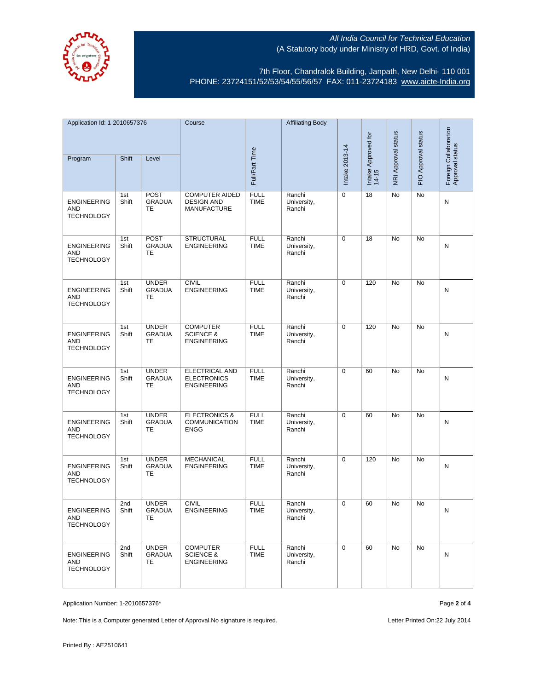

7th Floor, Chandralok Building, Janpath, New Delhi- 110 001 PHONE: 23724151/52/53/54/55/56/57 FAX: 011-23724183 [www.aicte-India.org](http://www.aicte-india.org/)

| Application Id: 1-2010657376                          |              | Course                                     |                                                                  | <b>Affiliating Body</b>    |                                 |                              |                     |                     |                                          |   |
|-------------------------------------------------------|--------------|--------------------------------------------|------------------------------------------------------------------|----------------------------|---------------------------------|------------------------------|---------------------|---------------------|------------------------------------------|---|
| Shift<br>Level                                        |              |                                            |                                                                  |                            |                                 | Intake Approved for<br>14-15 | NRI Approval status | PIO Approval status | Foreign Collaboration<br>Approval status |   |
| Program                                               |              |                                            |                                                                  | Full/Part Time             |                                 | Intake 2013-14               |                     |                     |                                          |   |
| <b>ENGINEERING</b><br>AND<br><b>TECHNOLOGY</b>        | 1st<br>Shift | <b>POST</b><br><b>GRADUA</b><br>TE         | <b>COMPUTER AIDED</b><br><b>DESIGN AND</b><br><b>MANUFACTURE</b> | <b>FULL</b><br><b>TIME</b> | Ranchi<br>University,<br>Ranchi | 0                            | 18                  | No                  | No                                       | Ν |
| <b>ENGINEERING</b><br>AND<br><b>TECHNOLOGY</b>        | 1st<br>Shift | <b>POST</b><br><b>GRADUA</b><br>TE         | <b>STRUCTURAL</b><br><b>ENGINEERING</b>                          | <b>FULL</b><br><b>TIME</b> | Ranchi<br>University,<br>Ranchi | 0                            | 18                  | No                  | No                                       | N |
| <b>ENGINEERING</b><br><b>AND</b><br><b>TECHNOLOGY</b> | 1st<br>Shift | <b>UNDER</b><br><b>GRADUA</b><br><b>TE</b> | <b>CIVIL</b><br><b>ENGINEERING</b>                               | <b>FULL</b><br><b>TIME</b> | Ranchi<br>University,<br>Ranchi | 0                            | 120                 | No                  | <b>No</b>                                | N |
| <b>ENGINEERING</b><br>AND<br><b>TECHNOLOGY</b>        | 1st<br>Shift | <b>UNDER</b><br><b>GRADUA</b><br>TE        | <b>COMPUTER</b><br><b>SCIENCE &amp;</b><br><b>ENGINEERING</b>    | <b>FULL</b><br><b>TIME</b> | Ranchi<br>University,<br>Ranchi | 0                            | 120                 | No                  | <b>No</b>                                | N |
| <b>ENGINEERING</b><br>AND<br><b>TECHNOLOGY</b>        | 1st<br>Shift | <b>UNDER</b><br><b>GRADUA</b><br>TE        | ELECTRICAL AND<br><b>ELECTRONICS</b><br><b>ENGINEERING</b>       | <b>FULL</b><br><b>TIME</b> | Ranchi<br>University,<br>Ranchi | 0                            | 60                  | No                  | No                                       | N |
| <b>ENGINEERING</b><br>AND<br><b>TECHNOLOGY</b>        | 1st<br>Shift | <b>UNDER</b><br><b>GRADUA</b><br>TE        | <b>ELECTRONICS &amp;</b><br><b>COMMUNICATION</b><br><b>ENGG</b>  | <b>FULL</b><br><b>TIME</b> | Ranchi<br>University,<br>Ranchi | 0                            | 60                  | No                  | No                                       | N |
| <b>ENGINEERING</b><br>AND<br><b>TECHNOLOGY</b>        | 1st<br>Shift | <b>UNDER</b><br><b>GRADUA</b><br>TE        | <b>MECHANICAL</b><br><b>ENGINEERING</b>                          | <b>FULL</b><br><b>TIME</b> | Ranchi<br>University,<br>Ranchi | 0                            | 120                 | No                  | No                                       | N |
| <b>ENGINEERING</b><br>AND<br><b>TECHNOLOGY</b>        | 2nd<br>Shift | <b>UNDER</b><br><b>GRADUA</b><br>TE        | <b>CIVIL</b><br><b>ENGINEERING</b>                               | <b>FULL</b><br>TIME        | Ranchi<br>University,<br>Ranchi | 0                            | 60                  | No                  | No                                       | N |
| <b>ENGINEERING</b><br>AND<br><b>TECHNOLOGY</b>        | 2nd<br>Shift | <b>UNDER</b><br><b>GRADUA</b><br>TE.       | <b>COMPUTER</b><br><b>SCIENCE &amp;</b><br><b>ENGINEERING</b>    | <b>FULL</b><br><b>TIME</b> | Ranchi<br>University,<br>Ranchi | $\mathbf 0$                  | 60                  | No                  | No                                       | N |

Application Number: 1-2010657376\* Page **2** of **4**

Note: This is a Computer generated Letter of Approval.No signature is required. Letter Printed On:22 July 2014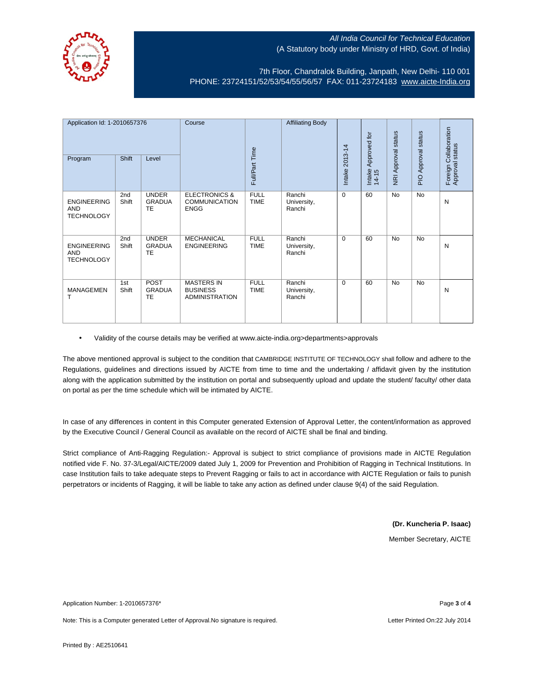

7th Floor, Chandralok Building, Janpath, New Delhi- 110 001 PHONE: 23724151/52/53/54/55/56/57 FAX: 011-23724183 [www.aicte-India.org](http://www.aicte-india.org/)

| Application Id: 1-2010657376<br>Program        | Shift        | Level                               | Course                                                          | Full/Part Time             | <b>Affiliating Body</b>         | 2013-14<br>Intake: | Approved for<br>Intake<br>14-15 | <b>NRI Approval status</b> | Approval status<br>$\frac{1}{2}$ | Collaboration<br>Foreign Collabor<br>Approval status |
|------------------------------------------------|--------------|-------------------------------------|-----------------------------------------------------------------|----------------------------|---------------------------------|--------------------|---------------------------------|----------------------------|----------------------------------|------------------------------------------------------|
| <b>ENGINEERING</b><br>AND<br><b>TECHNOLOGY</b> | 2nd<br>Shift | <b>UNDER</b><br><b>GRADUA</b><br>TE | <b>ELECTRONICS &amp;</b><br><b>COMMUNICATION</b><br><b>ENGG</b> | <b>FULL</b><br><b>TIME</b> | Ranchi<br>University,<br>Ranchi | $\Omega$           | 60                              | No                         | <b>No</b>                        | N                                                    |
| <b>ENGINEERING</b><br>AND<br><b>TECHNOLOGY</b> | 2nd<br>Shift | <b>UNDER</b><br><b>GRADUA</b><br>TE | <b>MECHANICAL</b><br><b>ENGINEERING</b>                         | <b>FULL</b><br><b>TIME</b> | Ranchi<br>University,<br>Ranchi | $\Omega$           | 60                              | No                         | <b>No</b>                        | N                                                    |
| <b>MANAGEMEN</b><br>т                          | 1st<br>Shift | <b>POST</b><br><b>GRADUA</b><br>TE  | <b>MASTERS IN</b><br><b>BUSINESS</b><br><b>ADMINISTRATION</b>   | <b>FULL</b><br><b>TIME</b> | Ranchi<br>University,<br>Ranchi | $\Omega$           | 60                              | No                         | <b>No</b>                        | N                                                    |

• Validity of the course details may be verified at www.aicte-india.org>departments>approvals

The above mentioned approval is subject to the condition that CAMBRIDGE INSTITUTE OF TECHNOLOGY shall follow and adhere to the Regulations, guidelines and directions issued by AICTE from time to time and the undertaking / affidavit given by the institution along with the application submitted by the institution on portal and subsequently upload and update the student/ faculty/ other data on portal as per the time schedule which will be intimated by AICTE.

In case of any differences in content in this Computer generated Extension of Approval Letter, the content/information as approved by the Executive Council / General Council as available on the record of AICTE shall be final and binding.

Strict compliance of Anti-Ragging Regulation:- Approval is subject to strict compliance of provisions made in AICTE Regulation notified vide F. No. 37-3/Legal/AICTE/2009 dated July 1, 2009 for Prevention and Prohibition of Ragging in Technical Institutions. In case Institution fails to take adequate steps to Prevent Ragging or fails to act in accordance with AICTE Regulation or fails to punish perpetrators or incidents of Ragging, it will be liable to take any action as defined under clause 9(4) of the said Regulation.

**(Dr. Kuncheria P. Isaac)**

Member Secretary, AICTE

Application Number: 1-2010657376\* Page **3** of **4**

Note: This is a Computer generated Letter of Approval.No signature is required. Letter Printed On:22 July 2014